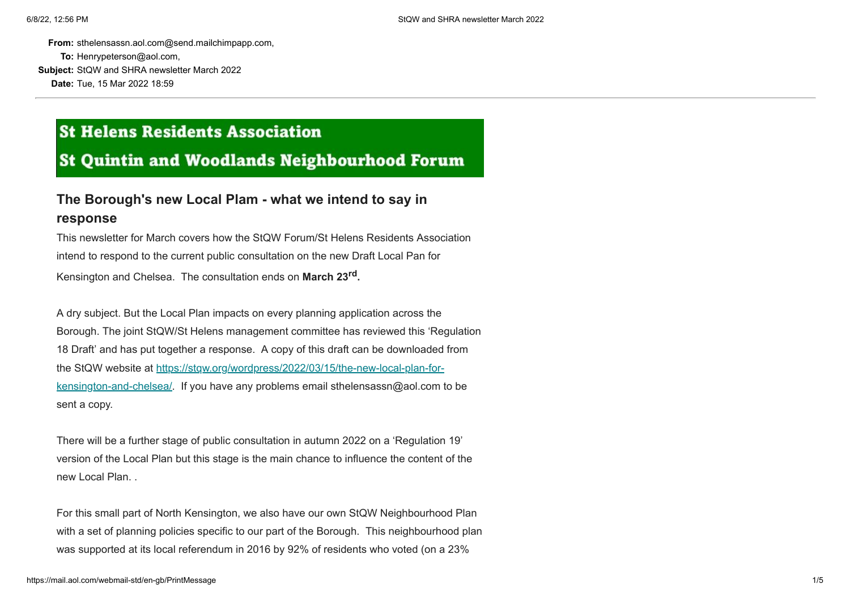**From:** sthelensassn.aol.com@send.mailchimpapp.com, **To:** Henrypeterson@aol.com,

**Subject:** StQW and SHRA newsletter March 2022 **Date:** Tue, 15 Mar 2022 18:59

## **St Helens Residents Association**

**St Quintin and Woodlands Neighbourhood Forum** 

## **The Borough's new Local Plam - what we intend to say in response**

This newsletter for March covers how the StQW Forum/St Helens Residents Association intend to respond to the current public consultation on the new Draft Local Pan for Kensington and Chelsea. The consultation ends on **March 23rd.**

A dry subject. But the Local Plan impacts on every planning application across the Borough. The joint StQW/St Helens management committee has reviewed this 'Regulation 18 Draft' and has put together a response. A copy of this draft can be downloaded from the StQW website at https://stqw.org/wordpress/2022/03/15/the-new-local-plan-for[kensington-and-chelsea/. If you have any problems email sthelensassn@aol.com t](https://sthelensresidents.us8.list-manage.com/track/click?u=c9b2cf8a83a98f3a41a3651c9&id=4b8a503550&e=e04a104173)o be sent a copy.

There will be a further stage of public consultation in autumn 2022 on a 'Regulation 19' version of the Local Plan but this stage is the main chance to influence the content of the new Local Plan. .

For this small part of North Kensington, we also have our own StQW Neighbourhood Plan with a set of planning policies specific to our part of the Borough. This neighbourhood plan was supported at its local referendum in 2016 by 92% of residents who voted (on a 23%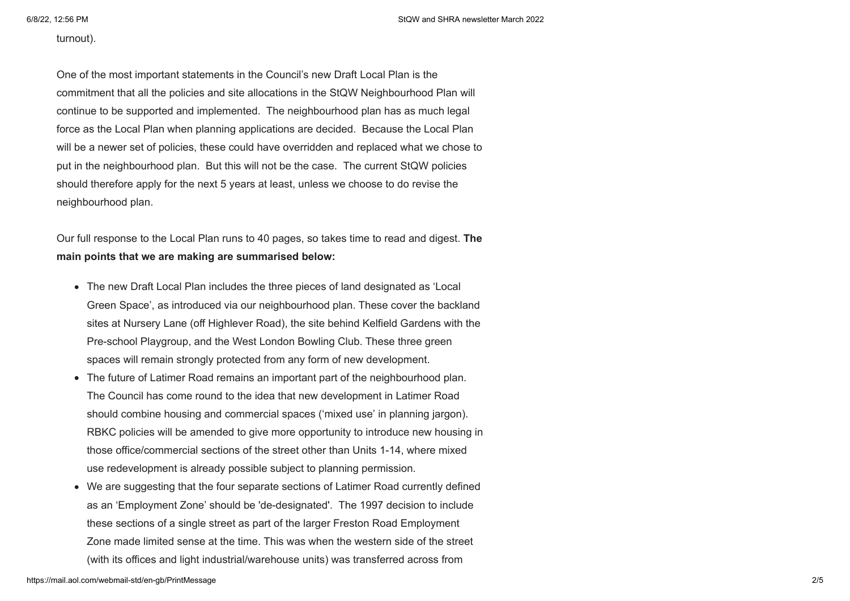## turnout).

One of the most important statements in the Council's new Draft Local Plan is the commitment that all the policies and site allocations in the StQW Neighbourhood Plan will continue to be supported and implemented. The neighbourhood plan has as much legal force as the Local Plan when planning applications are decided. Because the Local Plan will be a newer set of policies, these could have overridden and replaced what we chose to put in the neighbourhood plan. But this will not be the case. The current StQW policies should therefore apply for the next 5 years at least, unless we choose to do revise the neighbourhood plan.

Our full response to the Local Plan runs to 40 pages, so takes time to read and digest. **The main points that we are making are summarised below:**

- The new Draft Local Plan includes the three pieces of land designated as 'Local Green Space', as introduced via our neighbourhood plan. These cover the backland sites at Nursery Lane (off Highlever Road), the site behind Kelfield Gardens with the Pre-school Playgroup, and the West London Bowling Club. These three green spaces will remain strongly protected from any form of new development.
- The future of Latimer Road remains an important part of the neighbourhood plan. The Council has come round to the idea that new development in Latimer Road should combine housing and commercial spaces ('mixed use' in planning jargon). RBKC policies will be amended to give more opportunity to introduce new housing in those office/commercial sections of the street other than Units 1-14, where mixed use redevelopment is already possible subject to planning permission.
- We are suggesting that the four separate sections of Latimer Road currently defined as an 'Employment Zone' should be 'de-designated'. The 1997 decision to include these sections of a single street as part of the larger Freston Road Employment Zone made limited sense at the time. This was when the western side of the street (with its offices and light industrial/warehouse units) was transferred across from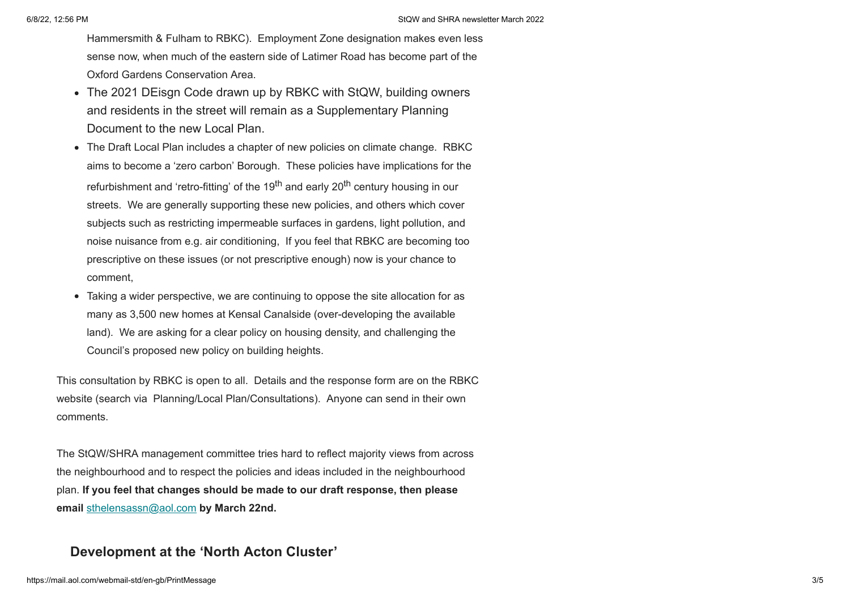Hammersmith & Fulham to RBKC). Employment Zone designation makes even less sense now, when much of the eastern side of Latimer Road has become part of the Oxford Gardens Conservation Area.

- The 2021 DEisgn Code drawn up by RBKC with StQW, building owners and residents in the street will remain as a Supplementary Planning Document to the new Local Plan.
- The Draft Local Plan includes a chapter of new policies on climate change. RBKC aims to become a 'zero carbon' Borough. These policies have implications for the refurbishment and 'retro-fitting' of the 19<sup>th</sup> and early 20<sup>th</sup> century housing in our streets. We are generally supporting these new policies, and others which cover subjects such as restricting impermeable surfaces in gardens, light pollution, and noise nuisance from e.g. air conditioning, If you feel that RBKC are becoming too prescriptive on these issues (or not prescriptive enough) now is your chance to comment,
- Taking a wider perspective, we are continuing to oppose the site allocation for as many as 3,500 new homes at Kensal Canalside (over-developing the available land). We are asking for a clear policy on housing density, and challenging the Council's proposed new policy on building heights.

This consultation by RBKC is open to all. Details and the response form are on the RBKC website (search via Planning/Local Plan/Consultations). Anyone can send in their own comments.

The StQW/SHRA management committee tries hard to reflect majority views from across the neighbourhood and to respect the policies and ideas included in the neighbourhood plan. **If you feel that changes should be made to our draft response, then please email** [sthelensassn@aol.com](mailto:sthelensassn@aol.com) **by March 22nd.**

## **Development at the 'North Acton Cluster'**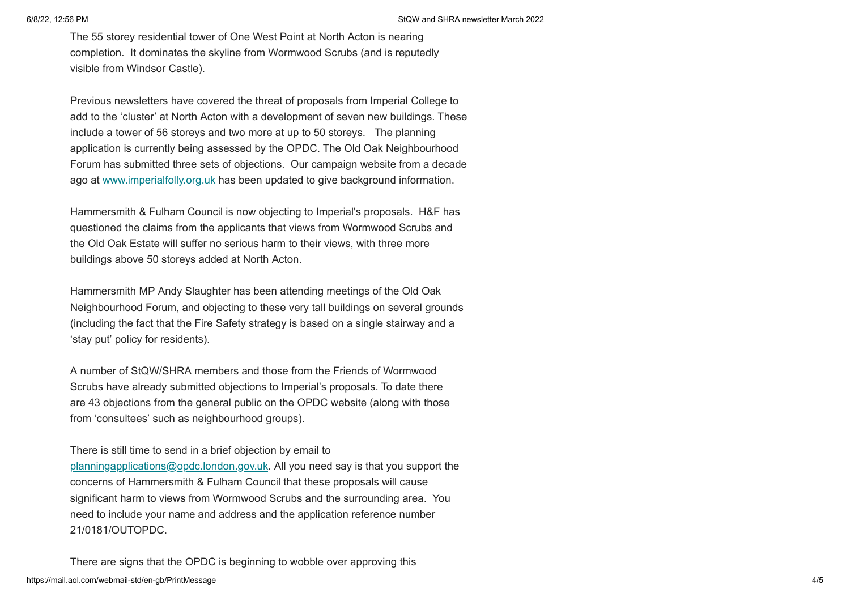The 55 storey residential tower of One West Point at North Acton is nearing completion. It dominates the skyline from Wormwood Scrubs (and is reputedly visible from Windsor Castle).

Previous newsletters have covered the threat of proposals from Imperial College to add to the 'cluster' at North Acton with a development of seven new buildings. These include a tower of 56 storeys and two more at up to 50 storeys. The planning application is currently being assessed by the OPDC. The Old Oak Neighbourhood Forum has submitted three sets of objections. Our campaign website from a decade ago at [www.imperialfolly.org.uk](https://sthelensresidents.us8.list-manage.com/track/click?u=c9b2cf8a83a98f3a41a3651c9&id=8dc56e4d25&e=e04a104173) has been updated to give background information.

Hammersmith & Fulham Council is now objecting to Imperial's proposals. H&F has questioned the claims from the applicants that views from Wormwood Scrubs and the Old Oak Estate will suffer no serious harm to their views, with three more buildings above 50 storeys added at North Acton.

Hammersmith MP Andy Slaughter has been attending meetings of the Old Oak Neighbourhood Forum, and objecting to these very tall buildings on several grounds (including the fact that the Fire Safety strategy is based on a single stairway and a 'stay put' policy for residents).

A number of StQW/SHRA members and those from the Friends of Wormwood Scrubs have already submitted objections to Imperial's proposals. To date there are 43 objections from the general public on the OPDC website (along with those from 'consultees' such as neighbourhood groups).

There is still time to send in a brief objection by email to [planningapplications@opdc.london.gov.uk](mailto:planningapplications@opdc.london.gov.uk). All you need say is that you support the concerns of Hammersmith & Fulham Council that these proposals will cause significant harm to views from Wormwood Scrubs and the surrounding area. You need to include your name and address and the application reference number 21/0181/OUTOPDC.

https://mail.aol.com/webmail-std/en-gb/PrintMessage 4/5 There are signs that the OPDC is beginning to wobble over approving this